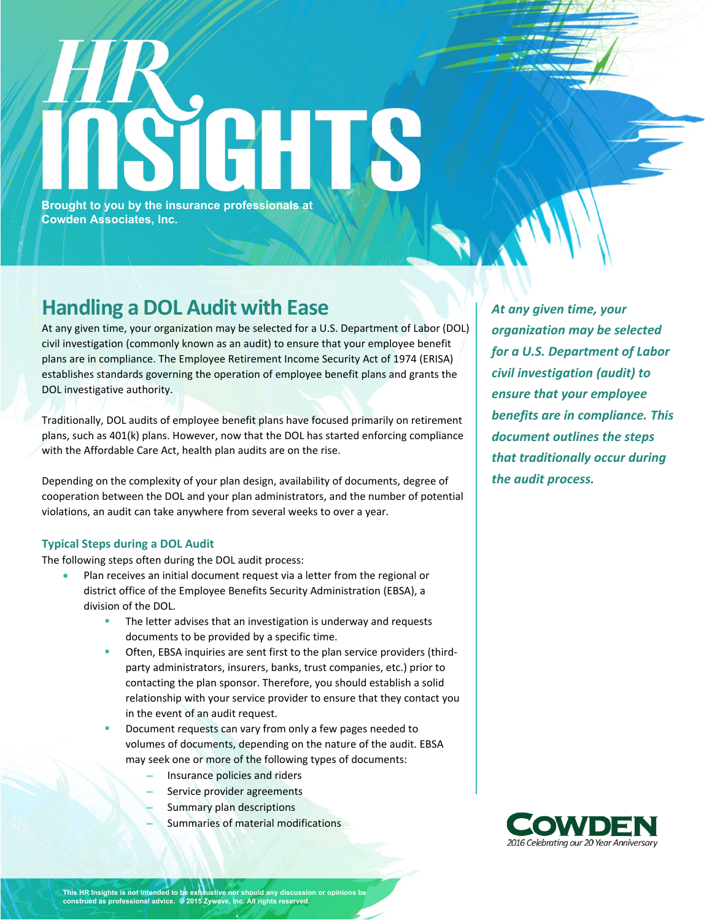## **Brought to you by the insurance professionals at Cowden Associates, Inc.**

## **Handling a DOL Audit with Ease**

At any given time, your organization may be selected for a U.S. Department of Labor (DOL) civil investigation (commonly known as an audit) to ensure that your employee benefit plans are in compliance. The Employee Retirement Income Security Act of 1974 (ERISA) establishes standards governing the operation of employee benefit plans and grants the DOL investigative authority.

Traditionally, DOL audits of employee benefit plans have focused primarily on retirement plans, such as 401(k) plans. However, now that the DOL has started enforcing compliance with the Affordable Care Act, health plan audits are on the rise.

Depending on the complexity of your plan design, availability of documents, degree of cooperation between the DOL and your plan administrators, and the number of potential violations, an audit can take anywhere from several weeks to over a year.

## **Typical Steps during a DOL Audit**

The following steps often during the DOL audit process:

- Plan receives an initial document request via a letter from the regional or district office of the Employee Benefits Security Administration (EBSA), a division of the DOL.
	- The letter advises that an investigation is underway and requests documents to be provided by a specific time.
	- Often, EBSA inquiries are sent first to the plan service providers (thirdparty administrators, insurers, banks, trust companies, etc.) prior to contacting the plan sponsor. Therefore, you should establish a solid relationship with your service provider to ensure that they contact you in the event of an audit request.
	- Document requests can vary from only a few pages needed to volumes of documents, depending on the nature of the audit. EBSA may seek one or more of the following types of documents:
		- Insurance policies and riders
		- Service provider agreements
		- Summary plan descriptions
		- Summaries of material modifications

*At any given time, your organization may be selected for a U.S. Department of Labor civil investigation (audit) to ensure that your employee benefits are in compliance. This document outlines the steps that traditionally occur during the audit process.*

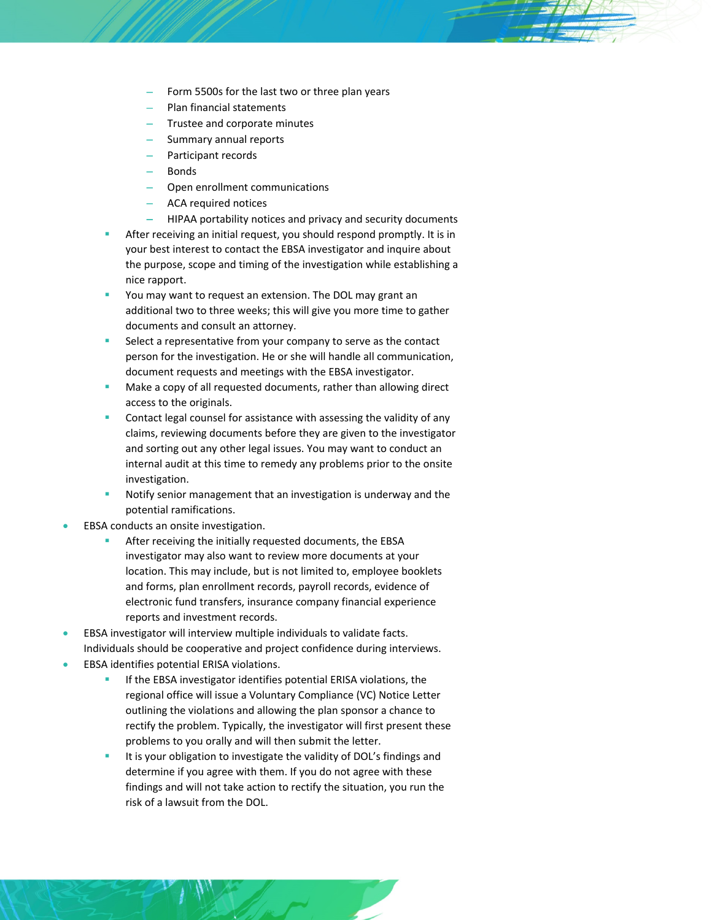- Form 5500s for the last two or three plan years
- Plan financial statements
- Trustee and corporate minutes
- Summary annual reports
- Participant records
- Bonds
- Open enrollment communications
- ACA required notices
- HIPAA portability notices and privacy and security documents
- After receiving an initial request, you should respond promptly. It is in your best interest to contact the EBSA investigator and inquire about the purpose, scope and timing of the investigation while establishing a nice rapport.
- You may want to request an extension. The DOL may grant an additional two to three weeks; this will give you more time to gather documents and consult an attorney.
- Select a representative from your company to serve as the contact person for the investigation. He or she will handle all communication, document requests and meetings with the EBSA investigator.
- Make a copy of all requested documents, rather than allowing direct access to the originals.
- Contact legal counsel for assistance with assessing the validity of any claims, reviewing documents before they are given to the investigator and sorting out any other legal issues. You may want to conduct an internal audit at this time to remedy any problems prior to the onsite investigation.
- Notify senior management that an investigation is underway and the potential ramifications.
- EBSA conducts an onsite investigation.
	- After receiving the initially requested documents, the EBSA investigator may also want to review more documents at your location. This may include, but is not limited to, employee booklets and forms, plan enrollment records, payroll records, evidence of electronic fund transfers, insurance company financial experience reports and investment records.
- EBSA investigator will interview multiple individuals to validate facts. Individuals should be cooperative and project confidence during interviews.
- EBSA identifies potential ERISA violations.
	- If the EBSA investigator identifies potential ERISA violations, the regional office will issue a Voluntary Compliance (VC) Notice Letter outlining the violations and allowing the plan sponsor a chance to rectify the problem. Typically, the investigator will first present these problems to you orally and will then submit the letter.
	- It is your obligation to investigate the validity of DOL's findings and determine if you agree with them. If you do not agree with these findings and will not take action to rectify the situation, you run the risk of a lawsuit from the DOL.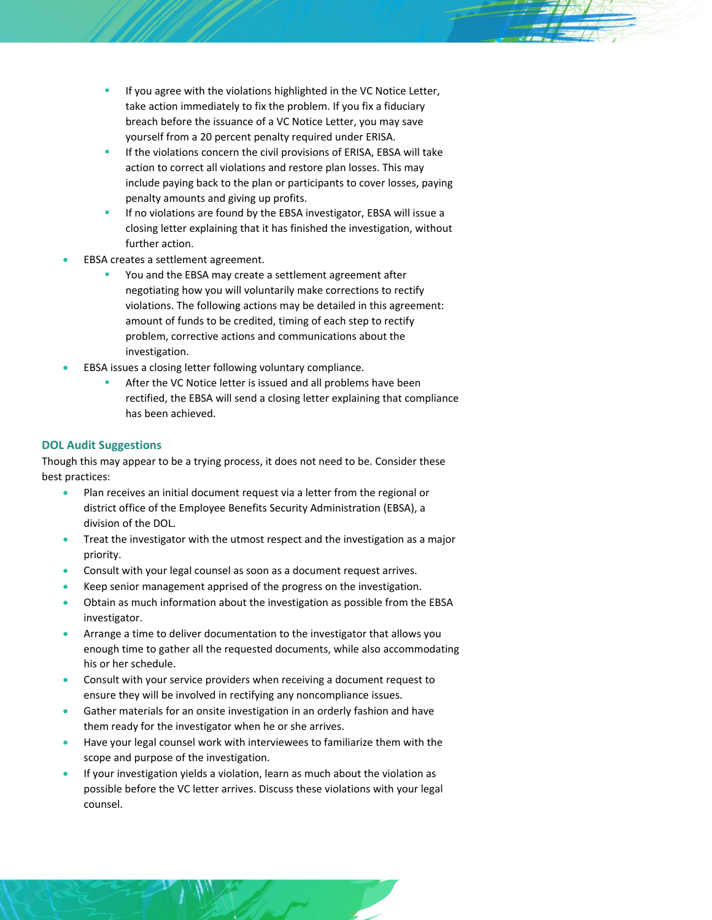- If you agree with the violations highlighted in the VC Notice Letter, take action immediately to fix the problem. If you fix a fiduciary breach before the issuance of a VC Notice Letter, you may save yourself from a 20 percent penalty required under ERISA.
- If the violations concern the civil provisions of ERISA, EBSA will take action to correct all violations and restore plan losses. This may include paying back to the plan or participants to cover losses, paying penalty amounts and giving up profits.
- If no violations are found by the EBSA investigator, EBSA will issue a closing letter explaining that it has finished the investigation, without further action.
- EBSA creates a settlement agreement.
	- You and the EBSA may create a settlement agreement after negotiating how you will voluntarily make corrections to rectify violations. The following actions may be detailed in this agreement: amount of funds to be credited, timing of each step to rectify problem, corrective actions and communications about the investigation.
- EBSA issues a closing letter following voluntary compliance.
	- After the VC Notice letter is issued and all problems have been rectified, the EBSA will send a closing letter explaining that compliance has been achieved.

## **DOL Audit Suggestions**

Though this may appear to be a trying process, it does not need to be. Consider these best practices:

- Plan receives an initial document request via a letter from the regional or district office of the Employee Benefits Security Administration (EBSA), a division of the DOL.
- Treat the investigator with the utmost respect and the investigation as a major priority.
- Consult with your legal counsel as soon as a document request arrives.
- Keep senior management apprised of the progress on the investigation.
- Obtain as much information about the investigation as possible from the EBSA investigator.
- Arrange a time to deliver documentation to the investigator that allows you enough time to gather all the requested documents, while also accommodating his or her schedule.
- Consult with your service providers when receiving a document request to ensure they will be involved in rectifying any noncompliance issues.
- Gather materials for an onsite investigation in an orderly fashion and have them ready for the investigator when he or she arrives.
- Have your legal counsel work with interviewees to familiarize them with the scope and purpose of the investigation.
- If your investigation yields a violation, learn as much about the violation as possible before the VC letter arrives. Discuss these violations with your legal counsel.